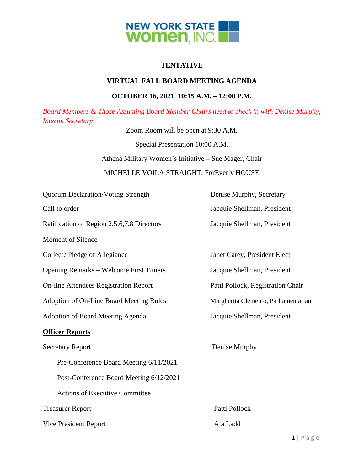

# **TENTATIVE**

## **VIRTUAL FALL BOARD MEETING AGENDA**

## **OCTOBER 16, 2021 10:15 A.M. – 12:00 P.M.**

*Board Members & Those Assuming Board Member Chairs need to check in with Denise Murphy, Interim Secretary*

Zoom Room will be open at 9:30 A.M.

Special Presentation 10:00 A.M.

Athena Military Women's Initiative – Sue Mager, Chair

## MICHELLE VOILA STRAIGHT, ForEverly HOUSE

| <b>Quorum Declaration/Voting Strength</b>      | Denise Murphy, Secretary             |
|------------------------------------------------|--------------------------------------|
| Call to order                                  | Jacquie Shellman, President          |
| Ratification of Region 2,5,6,7,8 Directors     | Jacquie Shellman, President          |
| <b>Moment of Silence</b>                       |                                      |
| Collect/Pledge of Allegiance                   | Janet Carey, President Elect         |
| <b>Opening Remarks – Welcome First Timers</b>  | Jacquie Shellman, President          |
| <b>On-line Attendees Registration Report</b>   | Patti Pollock, Registration Chair    |
| <b>Adoption of On-Line Board Meeting Rules</b> | Margherita Clemento, Parliamentarian |
| <b>Adoption of Board Meeting Agenda</b>        | Jacquie Shellman, President          |
| <b>Officer Reports</b>                         |                                      |
| <b>Secretary Report</b>                        | Denise Murphy                        |
| Pre-Conference Board Meeting 6/11/2021         |                                      |
| Post-Conference Board Meeting 6/12/2021        |                                      |
| <b>Actions of Executive Committee</b>          |                                      |
| <b>Treasurer Report</b>                        | Patti Pollock                        |
| Vice President Report                          | Ala Ladd                             |